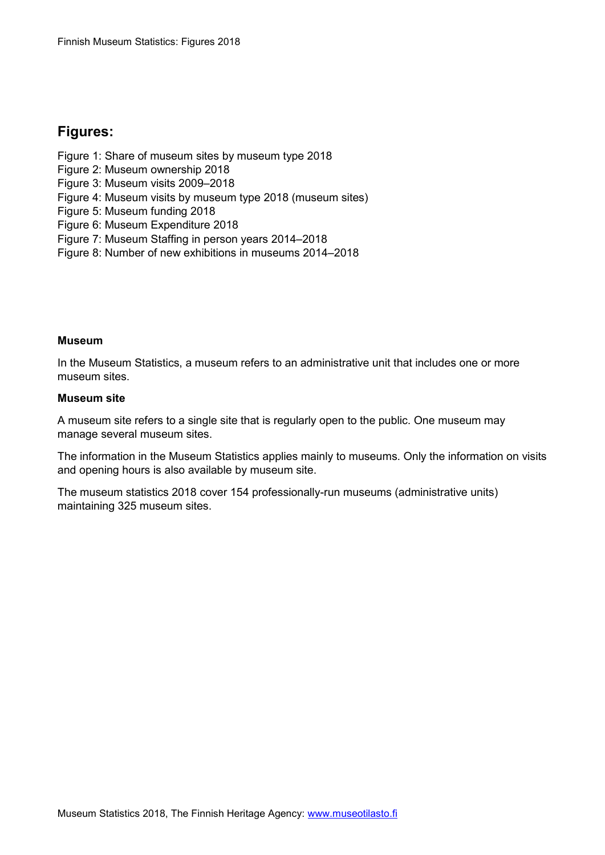## **Figures:**

- Figure 1: Share of museum sites by museum type 2018
- Figure 2: Museum ownership 2018
- Figure 3: Museum visits 2009–2018
- Figure 4: Museum visits by museum type 2018 (museum sites)
- Figure 5: Museum funding 2018
- Figure 6: Museum Expenditure 2018
- Figure 7: Museum Staffing in person years 2014–2018
- Figure 8: Number of new exhibitions in museums 2014–2018

## **Museum**

In the Museum Statistics, a museum refers to an administrative unit that includes one or more museum sites.

## **Museum site**

A museum site refers to a single site that is regularly open to the public. One museum may manage several museum sites.

The information in the Museum Statistics applies mainly to museums. Only the information on visits and opening hours is also available by museum site.

The museum statistics 2018 cover 154 professionally-run museums (administrative units) maintaining 325 museum sites.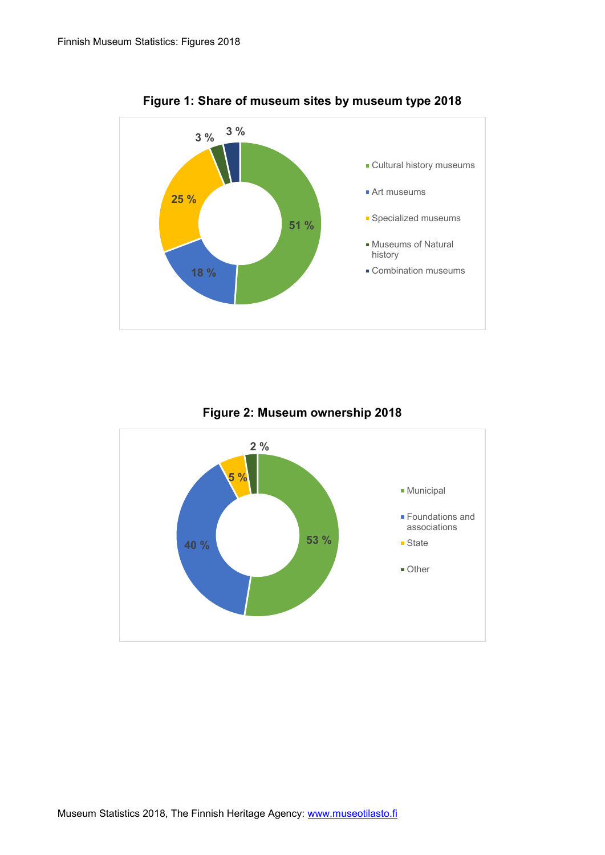

**Figure 1: Share of museum sites by museum type 2018**

**Figure 2: Museum ownership 2018**

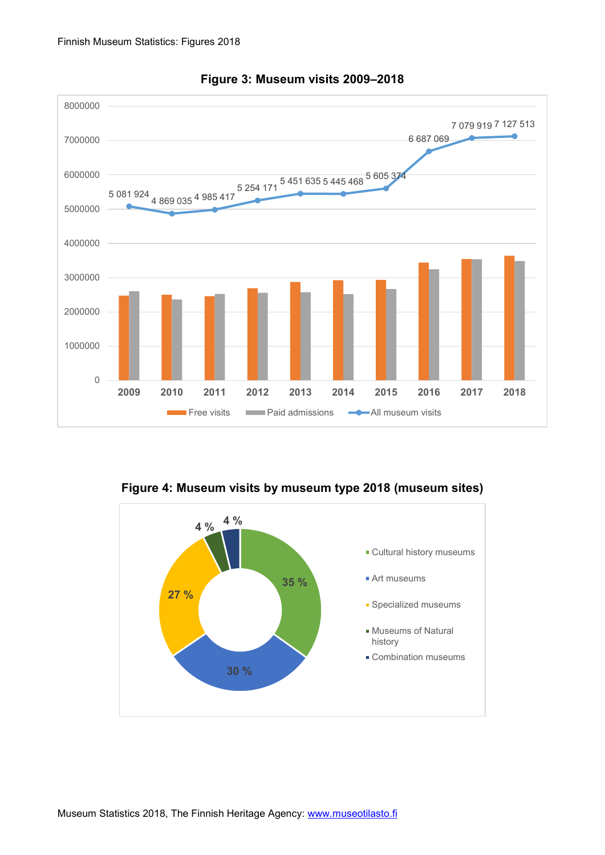

**Figure 3: Museum visits 2009–2018**

**Figure 4: Museum visits by museum type 2018 (museum sites)**

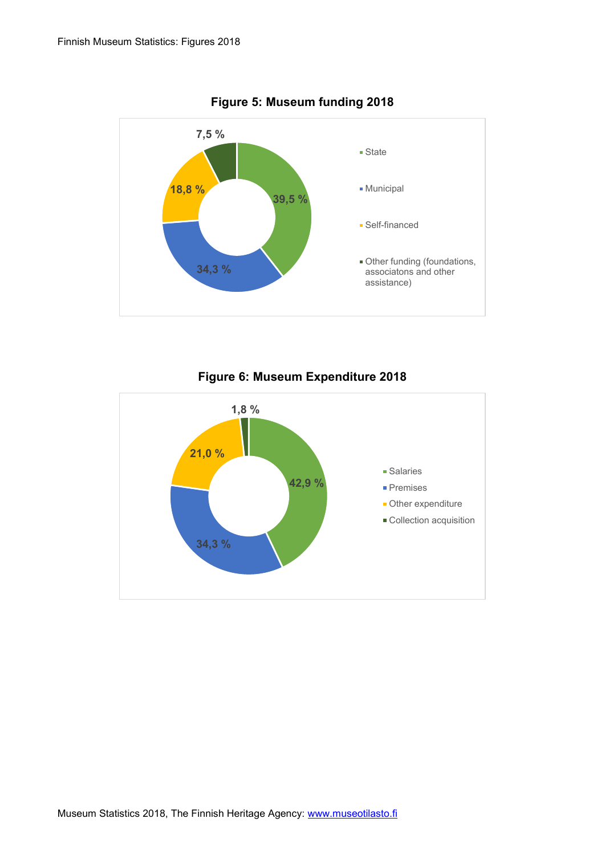



## **Figure 6: Museum Expenditure 2018**